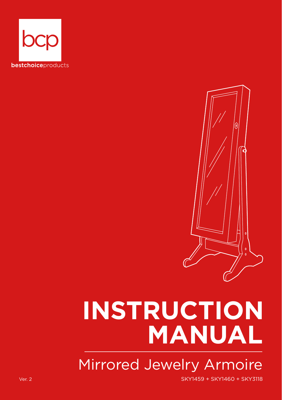



## **INSTRUCTION MANUAL**

Mirrored Jewelry Armoire

Ver. 2 SKY1459 + SKY1460 + SKY3118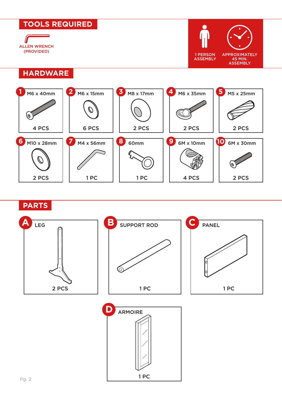



1 PC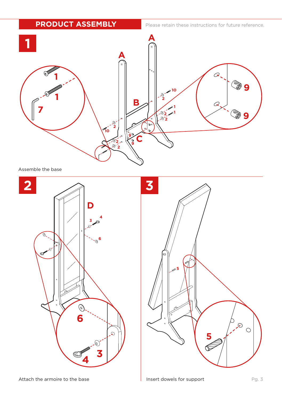**PRODUCT ASSEMBLY**

Please retain these instructions for future reference.



Assemble the base